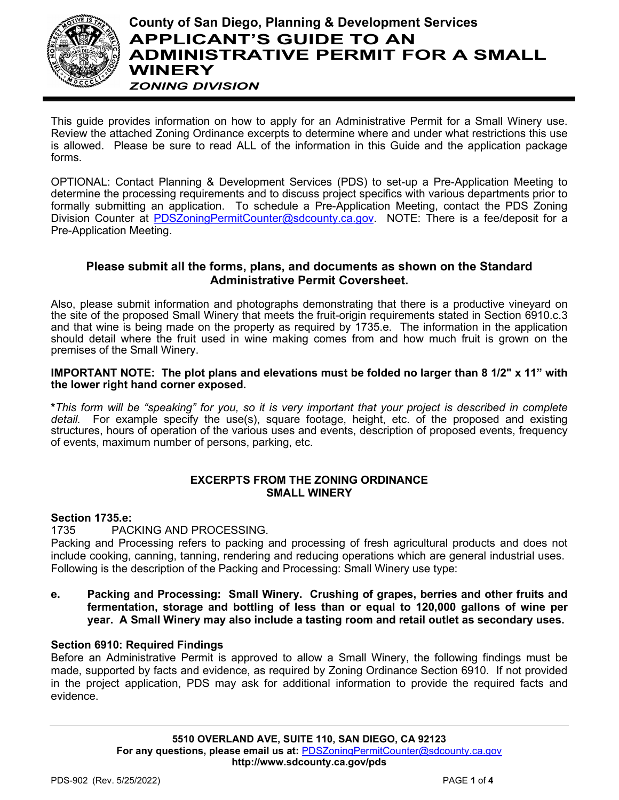

**County of San Diego, Planning & Development Services APPLICANT'S GUIDE TO AN ADMINISTRATIVE PERMIT FOR A SMALL WINERY**  *ZONING DIVISION*

This guide provides information on how to apply for an Administrative Permit for a Small Winery use. Review the attached Zoning Ordinance excerpts to determine where and under what restrictions this use is allowed. Please be sure to read ALL of the information in this Guide and the application package forms.

OPTIONAL: Contact Planning & Development Services (PDS) to set-up a Pre-Application Meeting to determine the processing requirements and to discuss project specifics with various departments prior to formally submitting an application. To schedule a Pre-Application Meeting, contact the PDS Zoning Division Counter at PDSZoningPermitCounter@sdcounty.ca.gov. NOTE: There is a fee/deposit for a Pre-Application Meeting.

# **Please submit all the forms, plans, and documents as shown on the Standard Administrative Permit Coversheet.**

Also, please submit information and photographs demonstrating that there is a productive vineyard on the site of the proposed Small Winery that meets the fruit-origin requirements stated in Section 6910.c.3 and that wine is being made on the property as required by 1735.e. The information in the application should detail where the fruit used in wine making comes from and how much fruit is grown on the premises of the Small Winery.

# **IMPORTANT NOTE: The plot plans and elevations must be folded no larger than 8 1/2" x 11" with the lower right hand corner exposed.**

**\****This form will be "speaking" for you, so it is very important that your project is described in complete detail.* For example specify the use(s), square footage, height, etc. of the proposed and existing structures, hours of operation of the various uses and events, description of proposed events, frequency of events, maximum number of persons, parking, etc.

# **EXCERPTS FROM THE ZONING ORDINANCE SMALL WINERY**

# **Section 1735.e:**

# 1735 PACKING AND PROCESSING.

Packing and Processing refers to packing and processing of fresh agricultural products and does not include cooking, canning, tanning, rendering and reducing operations which are general industrial uses. Following is the description of the Packing and Processing: Small Winery use type:

**e. Packing and Processing: Small Winery. Crushing of grapes, berries and other fruits and fermentation, storage and bottling of less than or equal to 120,000 gallons of wine per year. A Small Winery may also include a tasting room and retail outlet as secondary uses.**

# **Section 6910: Required Findings**

Before an Administrative Permit is approved to allow a Small Winery, the following findings must be made, supported by facts and evidence, as required by Zoning Ordinance Section 6910. If not provided in the project application, PDS may ask for additional information to provide the required facts and evidence.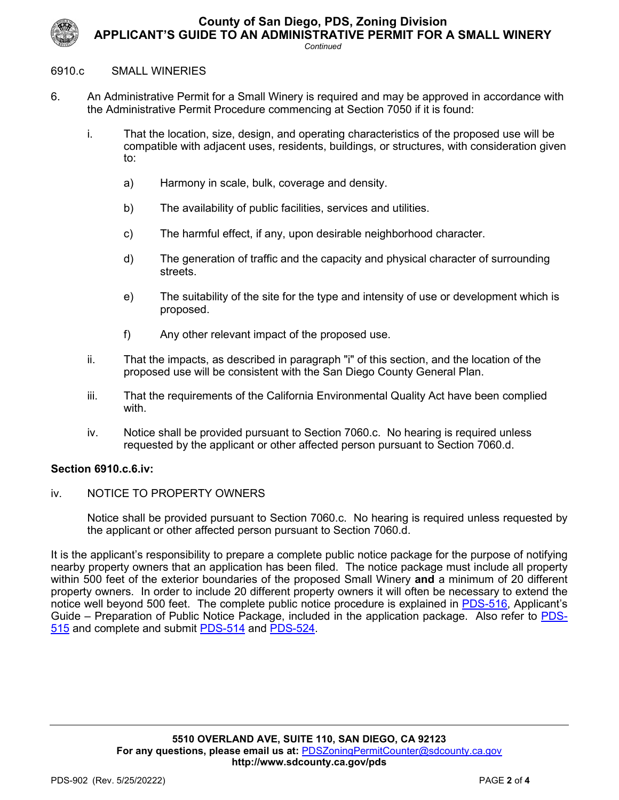**County of San Diego, PDS, Zoning Division**



**APPLICANT'S GUIDE TO AN ADMINISTRATIVE PERMIT FOR A SMALL WINERY**

*Continued*

#### 6910.c SMALL WINERIES

- 6. An Administrative Permit for a Small Winery is required and may be approved in accordance with the Administrative Permit Procedure commencing at Section 7050 if it is found:
	- i. That the location, size, design, and operating characteristics of the proposed use will be compatible with adjacent uses, residents, buildings, or structures, with consideration given to:
		- a) Harmony in scale, bulk, coverage and density.
		- b) The availability of public facilities, services and utilities.
		- c) The harmful effect, if any, upon desirable neighborhood character.
		- d) The generation of traffic and the capacity and physical character of surrounding streets.
		- e) The suitability of the site for the type and intensity of use or development which is proposed.
		- f) Any other relevant impact of the proposed use.
	- ii. That the impacts, as described in paragraph "i" of this section, and the location of the proposed use will be consistent with the San Diego County General Plan.
	- iii. That the requirements of the California Environmental Quality Act have been complied with.
	- iv. Notice shall be provided pursuant to Section 7060.c. No hearing is required unless requested by the applicant or other affected person pursuant to Section 7060.d.

## **Section 6910.c.6.iv:**

iv. NOTICE TO PROPERTY OWNERS

Notice shall be provided pursuant to Section 7060.c. No hearing is required unless requested by the applicant or other affected person pursuant to Section 7060.d.

It is the applicant's responsibility to prepare a complete public notice package for the purpose of notifying nearby property owners that an application has been filed. The notice package must include all property within 500 feet of the exterior boundaries of the proposed Small Winery **and** a minimum of 20 different property owners. In order to include 20 different property owners it will often be necessary to extend the notice well beyond 500 feet. The complete public notice procedure is explained in [PDS-516,](https://www.sandiegocounty.gov/content/dam/sdc/pds/zoning/formfields/PDS-PLN-516.pdf) Applicant's Guide – Preparation of Public Notice Package, included in the application package. Also refer to [PDS-](https://www.sandiegocounty.gov/content/dam/sdc/pds/zoning/formfields/PDS-PLN-515.pdf)[515](https://www.sandiegocounty.gov/content/dam/sdc/pds/zoning/formfields/PDS-PLN-515.pdf) and complete and submit [PDS-514](https://www.sandiegocounty.gov/content/dam/sdc/pds/zoning/formfields/PDS-PLN-514.pdf) and [PDS-524.](https://www.sandiegocounty.gov/content/dam/sdc/pds/zoning/formfields/PDS-PLN-524.pdf)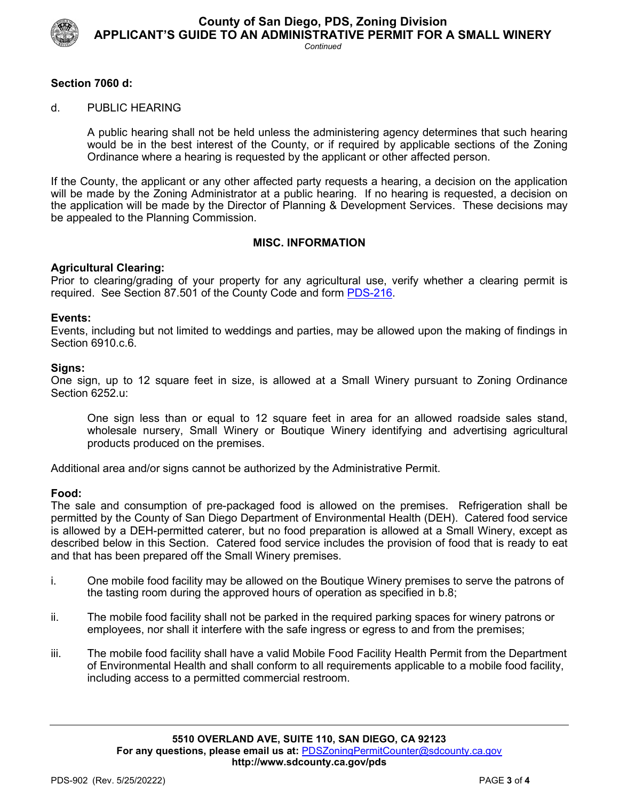

**County of San Diego, PDS, Zoning Division APPLICANT'S GUIDE TO AN ADMINISTRATIVE PERMIT FOR A SMALL WINERY**

#### *Continued*

## **Section 7060 d:**

#### d. PUBLIC HEARING

A public hearing shall not be held unless the administering agency determines that such hearing would be in the best interest of the County, or if required by applicable sections of the Zoning Ordinance where a hearing is requested by the applicant or other affected person.

If the County, the applicant or any other affected party requests a hearing, a decision on the application will be made by the Zoning Administrator at a public hearing. If no hearing is requested, a decision on the application will be made by the Director of Planning & Development Services. These decisions may be appealed to the Planning Commission.

#### **MISC. INFORMATION**

### **Agricultural Clearing:**

Prior to clearing/grading of your property for any agricultural use, verify whether a clearing permit is required. See Section 87.501 of the County Code and form [PDS-216.](https://www.sandiegocounty.gov/content/dam/sdc/pds/zoning/formfields/PDS-PLN-216.pdf)

#### **Events:**

Events, including but not limited to weddings and parties, may be allowed upon the making of findings in Section 6910.c.6.

#### **Signs:**

One sign, up to 12 square feet in size, is allowed at a Small Winery pursuant to Zoning Ordinance Section 6252.u:

 One sign less than or equal to 12 square feet in area for an allowed roadside sales stand, wholesale nursery, Small Winery or Boutique Winery identifying and advertising agricultural products produced on the premises.

Additional area and/or signs cannot be authorized by the Administrative Permit.

#### **Food:**

The sale and consumption of pre-packaged food is allowed on the premises. Refrigeration shall be permitted by the County of San Diego Department of Environmental Health (DEH). Catered food service is allowed by a DEH-permitted caterer, but no food preparation is allowed at a Small Winery, except as described below in this Section. Catered food service includes the provision of food that is ready to eat and that has been prepared off the Small Winery premises.

- i. One mobile food facility may be allowed on the Boutique Winery premises to serve the patrons of the tasting room during the approved hours of operation as specified in b.8;
- ii. The mobile food facility shall not be parked in the required parking spaces for winery patrons or employees, nor shall it interfere with the safe ingress or egress to and from the premises;
- iii. The mobile food facility shall have a valid Mobile Food Facility Health Permit from the Department of Environmental Health and shall conform to all requirements applicable to a mobile food facility, including access to a permitted commercial restroom.